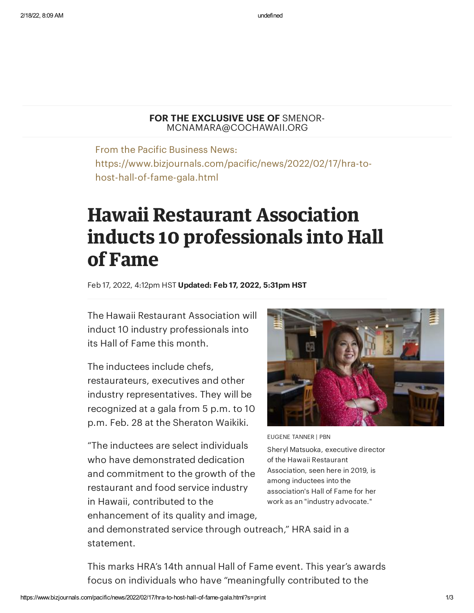## **FOR THE EXCLUSIVE USE OF** SMENOR-MCNAMARA@COCHAWAII.ORG

From the Pacific Business News: https://www.bizjournals.com/pacific/news/2022/02/17/hra-tohost-hall-of-fame-gala.html

## **Hawaii Restaurant Association inducts 10 professionals into Hall of Fame**

Feb 17, 2022, 4:12pm HST **Updated: Feb 17, 2022, 5:31pm HST**

The Hawaii Restaurant Association will induct 10 industry professionals into its Hall of Fame this month.

The inductees include chefs, restaurateurs, executives and other industry representatives. They will be recognized at a gala from 5 p.m. to 10 p.m. Feb. 28 at the Sheraton Waikiki.

"The inductees are select individuals who have demonstrated dedication and commitment to the growth of the restaurant and food service industry in Hawaii, contributed to the enhancement of its quality and image,



EUGENE TANNER | PBN Sheryl Matsuoka, executive director of the Hawaii Restaurant Association, seen here in 2019, is among inductees into the association's Hall of Fame for her work as an "industry advocate."

and demonstrated service through outreach," HRA said in a statement.

This marks HRA's 14th annual Hall of Fame event. This year's awards focus on individuals who have "meaningfully contributed to the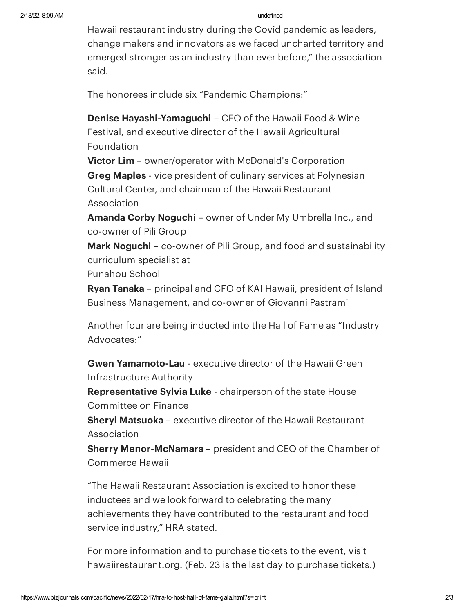Hawaii restaurant industry during the Covid pandemic as leaders, change makers and innovators as we faced uncharted territory and emerged stronger as an industry than ever before," the association said.

The honorees include six "Pandemic Champions:"

**Denise Hayashi-Yamaguchi** – CEO of the Hawaii Food & Wine Festival, and executive director of the Hawaii Agricultural Foundation

**Victor Lim** – owner/operator with McDonald's Corporation **Greg Maples** - vice president of culinary services at Polynesian Cultural Center, and chairman of the Hawaii Restaurant Association

**Amanda Corby Noguchi** – owner of Under My Umbrella Inc., and co-owner of Pili Group

**Mark Noguchi** – co-owner of Pili Group, and food and sustainability curriculum specialist at Punahou School

**Ryan Tanaka** – principal and CFO of KAI Hawaii, president of Island Business Management, and co-owner of Giovanni Pastrami

Another four are being inducted into the Hall of Fame as "Industry Advocates:"

**Gwen Yamamoto-Lau** - executive director of the Hawaii Green Infrastructure Authority

**Representative Sylvia Luke** - chairperson of the state House Committee on Finance

**Sheryl Matsuoka** – executive director of the Hawaii Restaurant Association

**Sherry Menor-McNamara** – president and CEO of the Chamber of Commerce Hawaii

"The Hawaii Restaurant Association is excited to honor these inductees and we look forward to celebrating the many achievements they have contributed to the restaurant and food service industry," HRA stated.

For more information and to purchase tickets to the event, visit hawaiirestaurant.org. (Feb. 23 is the last day to purchase tickets.)